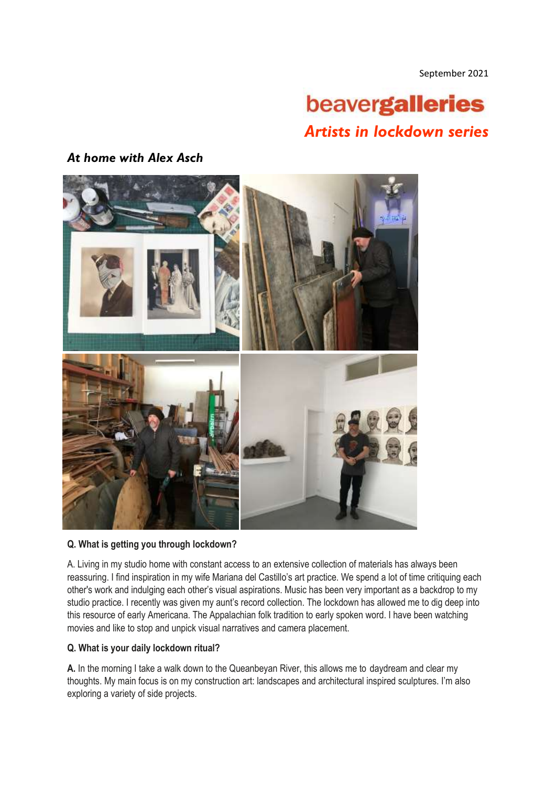September 2021

# beavergalleries *Artists in lockdown series*

## *At home with Alex Asch*



### **Q. What is getting you through lockdown?**

A. Living in my studio home with constant access to an extensive collection of materials has always been reassuring. I find inspiration in my wife Mariana del Castillo's art practice. We spend a lot of time critiquing each other's work and indulging each other's visual aspirations. Music has been very important as a backdrop to my studio practice. I recently was given my aunt's record collection. The lockdown has allowed me to dig deep into this resource of early Americana. The Appalachian folk tradition to early spoken word. I have been watching movies and like to stop and unpick visual narratives and camera placement.

### **Q. What is your daily lockdown ritual?**

**A.** In the morning I take a walk down to the Queanbeyan River, this allows me to daydream and clear my thoughts. My main focus is on my construction art: landscapes and architectural inspired sculptures. I'm also exploring a variety of side projects.